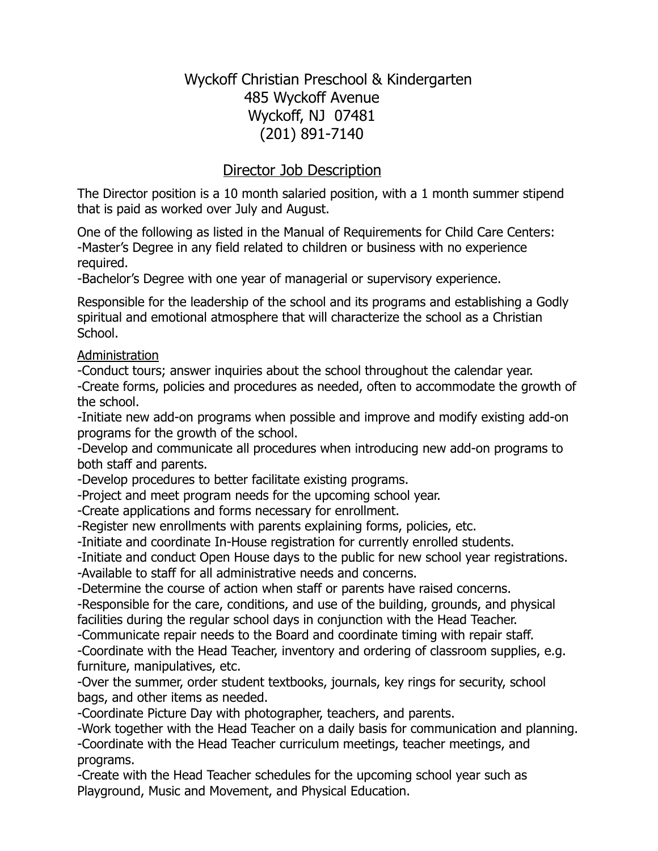# Wyckoff Christian Preschool & Kindergarten 485 Wyckoff Avenue Wyckoff, NJ 07481 (201) 891-7140

# Director Job Description

The Director position is a 10 month salaried position, with a 1 month summer stipend that is paid as worked over July and August.

One of the following as listed in the Manual of Requirements for Child Care Centers: -Master's Degree in any field related to children or business with no experience required.

-Bachelor's Degree with one year of managerial or supervisory experience.

Responsible for the leadership of the school and its programs and establishing a Godly spiritual and emotional atmosphere that will characterize the school as a Christian School.

#### Administration

-Conduct tours; answer inquiries about the school throughout the calendar year. -Create forms, policies and procedures as needed, often to accommodate the growth of the school.

-Initiate new add-on programs when possible and improve and modify existing add-on programs for the growth of the school.

-Develop and communicate all procedures when introducing new add-on programs to both staff and parents.

-Develop procedures to better facilitate existing programs.

-Project and meet program needs for the upcoming school year.

-Create applications and forms necessary for enrollment.

-Register new enrollments with parents explaining forms, policies, etc.

-Initiate and coordinate In-House registration for currently enrolled students.

-Initiate and conduct Open House days to the public for new school year registrations.

-Available to staff for all administrative needs and concerns.

-Determine the course of action when staff or parents have raised concerns.

-Responsible for the care, conditions, and use of the building, grounds, and physical facilities during the regular school days in conjunction with the Head Teacher.

-Communicate repair needs to the Board and coordinate timing with repair staff.

-Coordinate with the Head Teacher, inventory and ordering of classroom supplies, e.g. furniture, manipulatives, etc.

-Over the summer, order student textbooks, journals, key rings for security, school bags, and other items as needed.

-Coordinate Picture Day with photographer, teachers, and parents.

-Work together with the Head Teacher on a daily basis for communication and planning.

-Coordinate with the Head Teacher curriculum meetings, teacher meetings, and programs.

-Create with the Head Teacher schedules for the upcoming school year such as Playground, Music and Movement, and Physical Education.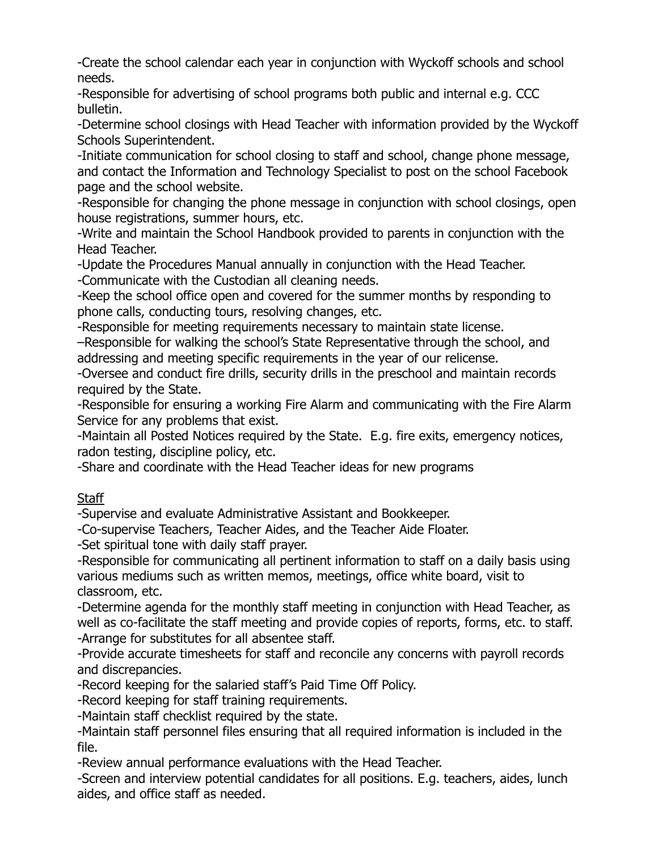-Create the school calendar each year in conjunction with Wyckoff schools and school needs.

-Responsible for advertising of school programs both public and internal e.g. CCC bulletin.

-Determine school closings with Head Teacher with information provided by the Wyckoff Schools Superintendent.

-Initiate communication for school closing to staff and school, change phone message, and contact the Information and Technology Specialist to post on the school Facebook page and the school website.

-Responsible for changing the phone message in conjunction with school closings, open house registrations, summer hours, etc.

-Write and maintain the School Handbook provided to parents in conjunction with the Head Teacher.

-Update the Procedures Manual annually in conjunction with the Head Teacher.

-Communicate with the Custodian all cleaning needs.

-Keep the school office open and covered for the summer months by responding to phone calls, conducting tours, resolving changes, etc.

-Responsible for meeting requirements necessary to maintain state license.

–Responsible for walking the school's State Representative through the school, and addressing and meeting specific requirements in the year of our relicense.

-Oversee and conduct fire drills, security drills in the preschool and maintain records required by the State.

-Responsible for ensuring a working Fire Alarm and communicating with the Fire Alarm Service for any problems that exist.

-Maintain all Posted Notices required by the State. E.g. fire exits, emergency notices, radon testing, discipline policy, etc.

-Share and coordinate with the Head Teacher ideas for new programs

**Staff** 

-Supervise and evaluate Administrative Assistant and Bookkeeper.

-Co-supervise Teachers, Teacher Aides, and the Teacher Aide Floater.

-Set spiritual tone with daily staff prayer.

-Responsible for communicating all pertinent information to staff on a daily basis using various mediums such as written memos, meetings, office white board, visit to classroom, etc.

-Determine agenda for the monthly staff meeting in conjunction with Head Teacher, as well as co-facilitate the staff meeting and provide copies of reports, forms, etc. to staff. -Arrange for substitutes for all absentee staff.

-Provide accurate timesheets for staff and reconcile any concerns with payroll records and discrepancies.

-Record keeping for the salaried staff's Paid Time Off Policy.

-Record keeping for staff training requirements.

-Maintain staff checklist required by the state.

-Maintain staff personnel files ensuring that all required information is included in the file.

-Review annual performance evaluations with the Head Teacher.

-Screen and interview potential candidates for all positions. E.g. teachers, aides, lunch aides, and office staff as needed.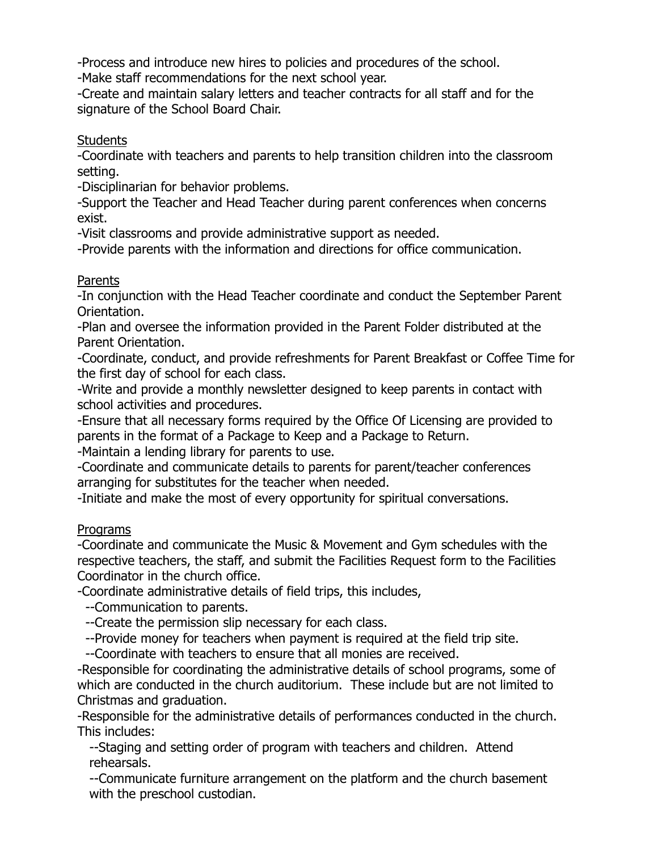-Process and introduce new hires to policies and procedures of the school.

-Make staff recommendations for the next school year.

-Create and maintain salary letters and teacher contracts for all staff and for the signature of the School Board Chair.

#### **Students**

-Coordinate with teachers and parents to help transition children into the classroom setting.

-Disciplinarian for behavior problems.

-Support the Teacher and Head Teacher during parent conferences when concerns exist.

-Visit classrooms and provide administrative support as needed.

-Provide parents with the information and directions for office communication.

## Parents

-In conjunction with the Head Teacher coordinate and conduct the September Parent Orientation.

-Plan and oversee the information provided in the Parent Folder distributed at the Parent Orientation.

-Coordinate, conduct, and provide refreshments for Parent Breakfast or Coffee Time for the first day of school for each class.

-Write and provide a monthly newsletter designed to keep parents in contact with school activities and procedures.

-Ensure that all necessary forms required by the Office Of Licensing are provided to parents in the format of a Package to Keep and a Package to Return.

-Maintain a lending library for parents to use.

-Coordinate and communicate details to parents for parent/teacher conferences arranging for substitutes for the teacher when needed.

-Initiate and make the most of every opportunity for spiritual conversations.

## Programs

-Coordinate and communicate the Music & Movement and Gym schedules with the respective teachers, the staff, and submit the Facilities Request form to the Facilities Coordinator in the church office.

-Coordinate administrative details of field trips, this includes,

--Communication to parents.

--Create the permission slip necessary for each class.

--Provide money for teachers when payment is required at the field trip site.

--Coordinate with teachers to ensure that all monies are received.

-Responsible for coordinating the administrative details of school programs, some of which are conducted in the church auditorium. These include but are not limited to Christmas and graduation.

-Responsible for the administrative details of performances conducted in the church. This includes:

--Staging and setting order of program with teachers and children. Attend rehearsals.

--Communicate furniture arrangement on the platform and the church basement with the preschool custodian.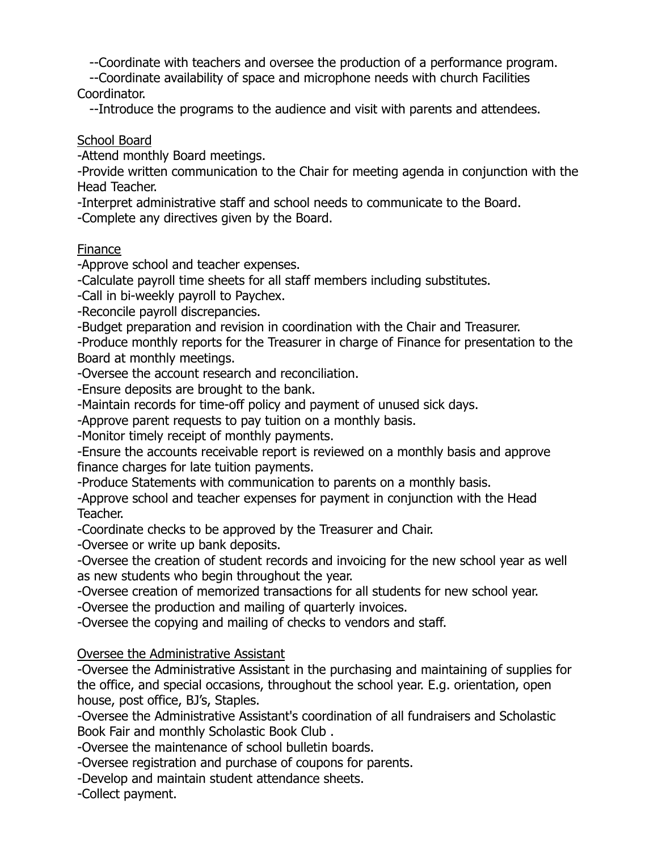--Coordinate with teachers and oversee the production of a performance program.

--Coordinate availability of space and microphone needs with church Facilities Coordinator.

--Introduce the programs to the audience and visit with parents and attendees.

School Board

-Attend monthly Board meetings.

-Provide written communication to the Chair for meeting agenda in conjunction with the Head Teacher.

-Interpret administrative staff and school needs to communicate to the Board.

-Complete any directives given by the Board.

#### Finance

-Approve school and teacher expenses.

-Calculate payroll time sheets for all staff members including substitutes.

-Call in bi-weekly payroll to Paychex.

-Reconcile payroll discrepancies.

-Budget preparation and revision in coordination with the Chair and Treasurer.

-Produce monthly reports for the Treasurer in charge of Finance for presentation to the Board at monthly meetings.

-Oversee the account research and reconciliation.

-Ensure deposits are brought to the bank.

-Maintain records for time-off policy and payment of unused sick days.

-Approve parent requests to pay tuition on a monthly basis.

-Monitor timely receipt of monthly payments.

-Ensure the accounts receivable report is reviewed on a monthly basis and approve finance charges for late tuition payments.

-Produce Statements with communication to parents on a monthly basis.

-Approve school and teacher expenses for payment in conjunction with the Head Teacher.

-Coordinate checks to be approved by the Treasurer and Chair.

-Oversee or write up bank deposits.

-Oversee the creation of student records and invoicing for the new school year as well as new students who begin throughout the year.

-Oversee creation of memorized transactions for all students for new school year.

-Oversee the production and mailing of quarterly invoices.

-Oversee the copying and mailing of checks to vendors and staff.

## Oversee the Administrative Assistant

-Oversee the Administrative Assistant in the purchasing and maintaining of supplies for the office, and special occasions, throughout the school year. E.g. orientation, open house, post office, BJ's, Staples.

-Oversee the Administrative Assistant's coordination of all fundraisers and Scholastic Book Fair and monthly Scholastic Book Club .

-Oversee the maintenance of school bulletin boards.

-Oversee registration and purchase of coupons for parents.

-Develop and maintain student attendance sheets.

-Collect payment.